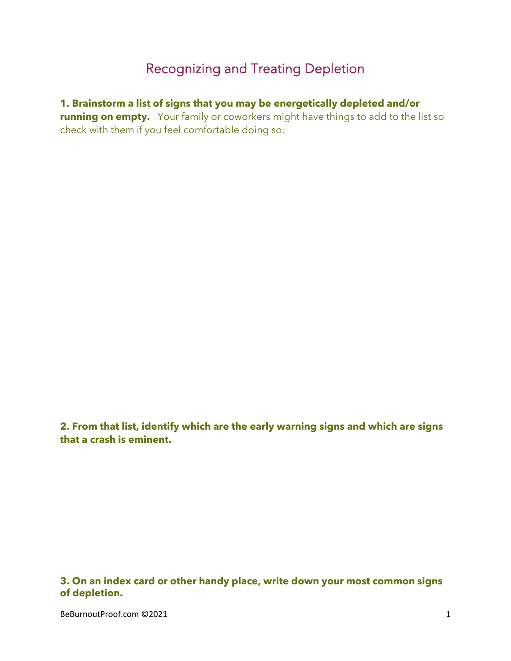## Recognizing and Treating Depletion

**1. Brainstorm a list of signs that you may be energetically depleted and/or running on empty.** Your family or coworkers might have things to add to the list so check with them if you feel comfortable doing so.

**2. From that list, identify which are the early warning signs and which are signs that a crash is eminent.**

**3. On an index card or other handy place, write down your most common signs of depletion.**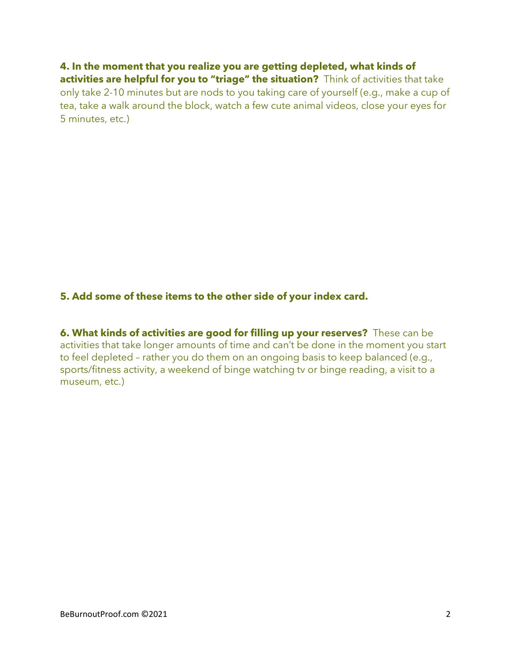**4. In the moment that you realize you are getting depleted, what kinds of activities are helpful for you to "triage" the situation?** Think of activities that take only take 2-10 minutes but are nods to you taking care of yourself (e.g., make a cup of tea, take a walk around the block, watch a few cute animal videos, close your eyes for 5 minutes, etc.)

## **5. Add some of these items to the other side of your index card.**

**6. What kinds of activities are good for filling up your reserves?** These can be activities that take longer amounts of time and can't be done in the moment you start to feel depleted – rather you do them on an ongoing basis to keep balanced (e.g., sports/fitness activity, a weekend of binge watching tv or binge reading, a visit to a museum, etc.)